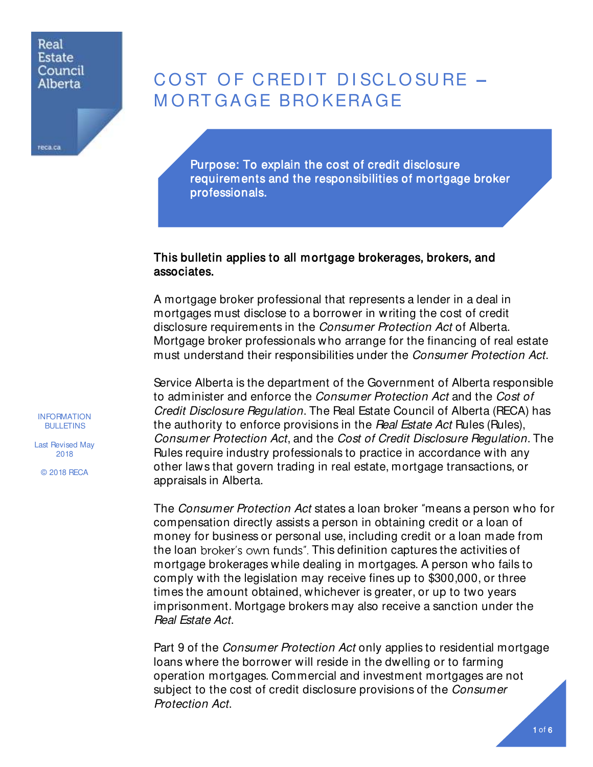## Real **Estate** Council Alberta

reca.ca

# COST OF CREDIT DISCLOSURE -M O RT GA GE BRO KERA GE

Purpose: To explain the cost of credit disclosure requirements and the responsibilities of mortgage broker professionals.

# This bulletin applies to all mortgage brokerages, brokers, and associates.

A mortgage broker professional that represents a lender in a deal in mortgages must disclose to a borrower in writing the cost of credit disclosure requirements in the Consumer Protection Act of Alberta. Mortgage broker professionals who arrange for the financing of real estate must understand their responsibilities under the *Consumer Protection Act*.

Service Alberta is the department of the Government of Alberta responsible to administer and enforce the *Consumer Protection Act* and the *Cost of* Credit Disclosure Regulation. The Real Estate Council of Alberta (RECA) has the authority to enforce provisions in the Real Estate Act Rules (Rules), Consumer Protection Act, and the Cost of Credit Disclosure Regulation. The Rules require industry professionals to practice in accordance with any other laws that govern trading in real estate, mortgage transactions, or appraisals in Alberta.

The *Consumer Protection Act* states a loan broker "means a person who for compensation directly assists a person in obtaining credit or a loan of money for business or personal use, including credit or a loan made from the loan broker's own funds". This definition captures the activities of mortgage brokerages while dealing in mortgages. A person who fails to comply with the legislation may receive fines up to \$300,000, or three times the amount obtained, whichever is greater, or up to two years imprisonment. Mortgage brokers may also receive a sanction under the Real Estate Act.

Part 9 of the *Consumer Protection Act* only applies to residential mortgage loans where the borrower will reside in the dwelling or to farming operation mortgages. Commercial and investment mortgages are not subject to the cost of credit disclosure provisions of the Consumer Protection Act.

INFORMATION BULLETINS

Last Revised May 2018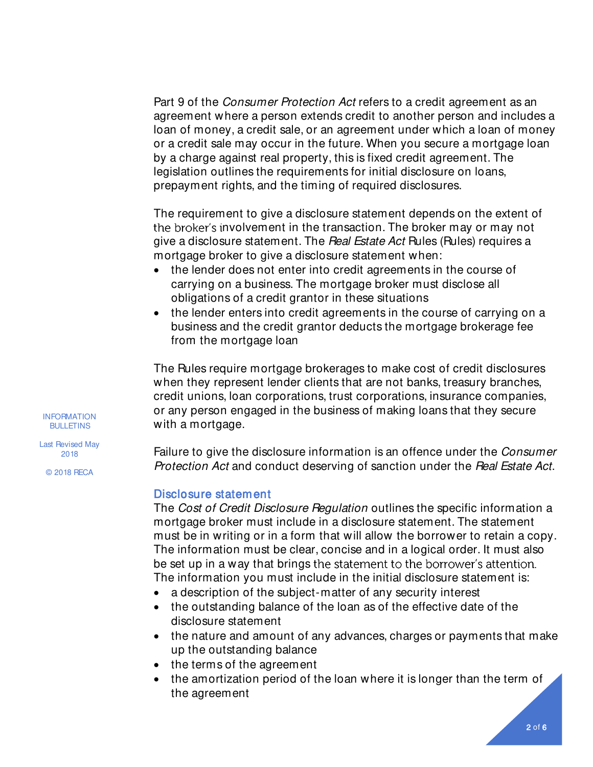Part 9 of the *Consumer Protection Act* refers to a credit agreement as an agreement where a person extends credit to another person and includes a loan of money, a credit sale, or an agreement under which a loan of money or a credit sale may occur in the future. When you secure a mortgage loan by a charge against real property, this is fixed credit agreement. The legislation outlines the requirements for initial disclosure on loans, prepayment rights, and the timing of required disclosures.

The requirement to give a disclosure statement depends on the extent of the broker's involvement in the transaction. The broker may or may not give a disclosure statement. The Real Estate Act Rules (Rules) requires a mortgage broker to give a disclosure statement when:

- the lender does not enter into credit agreements in the course of carrying on a business. The mortgage broker must disclose all obligations of a credit grantor in these situations
- the lender enters into credit agreements in the course of carrying on a business and the credit grantor deducts the mortgage brokerage fee from the mortgage loan

The Rules require mortgage brokerages to make cost of credit disclosures when they represent lender clients that are not banks, treasury branches, credit unions, loan corporations, trust corporations, insurance companies, or any person engaged in the business of making loans that they secure with a mortgage.

Failure to give the disclosure information is an offence under the Consumer Protection Act and conduct deserving of sanction under the Real Estate Act.

## Disclosure statement

The Cost of Credit Disclosure Regulation outlines the specific information a mortgage broker must include in a disclosure statement. The statement must be in writing or in a form that will allow the borrower to retain a copy. The information must be clear, concise and in a logical order. It must also be set up in a way that brings the statement to the borrower's attention. The information you must include in the initial disclosure statement is:

- a description of the subject-matter of any security interest
- the outstanding balance of the loan as of the effective date of the disclosure statement
- the nature and amount of any advances, charges or payments that make up the outstanding balance
- the terms of the agreement
- the amortization period of the loan where it is longer than the term of the agreement

INFORMATION **BULLETINS** 

Last Revised May 2018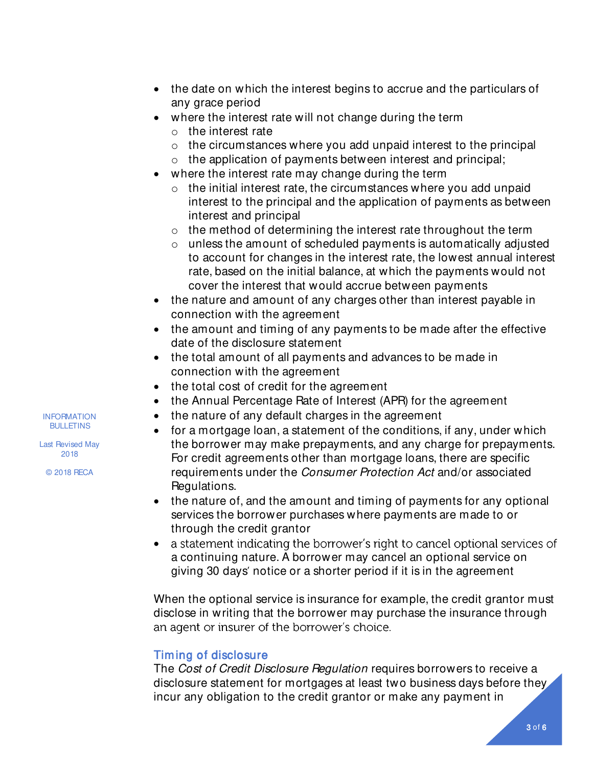- the date on which the interest begins to accrue and the particulars of any grace period
- where the interest rate will not change during the term
	- o the interest rate
	- $\circ$  the circumstances where you add unpaid interest to the principal
	- o the application of payments between interest and principal;
	- where the interest rate may change during the term
		- $\circ$  the initial interest rate, the circumstances where you add unpaid interest to the principal and the application of payments as between interest and principal
		- $\circ$  the method of determining the interest rate throughout the term
		- $\circ$  unless the amount of scheduled payments is automatically adjusted to account for changes in the interest rate, the lowest annual interest rate, based on the initial balance, at which the payments would not cover the interest that would accrue between payments
- the nature and amount of any charges other than interest payable in connection with the agreement
- the amount and timing of any payments to be made after the effective date of the disclosure statement
- the total amount of all payments and advances to be made in connection with the agreement
- the total cost of credit for the agreement
- the Annual Percentage Rate of Interest (APR) for the agreement
- the nature of any default charges in the agreement
- for a mortgage loan, a statement of the conditions, if any, under which the borrower may make prepayments, and any charge for prepayments. For credit agreements other than mortgage loans, there are specific requirements under the Consumer Protection Act and/or associated Regulations.
- the nature of, and the amount and timing of payments for any optional services the borrower purchases where payments are made to or through the credit grantor
- a statement indicating the borrower's right to cancel optional services of • a continuing nature. A borrower may cancel an optional service on giving 30 days' notice or a shorter period if it is in the agreement

When the optional service is insurance for example, the credit grantor must disclose in writing that the borrower may purchase the insurance through an agent or insurer of the borrower's choice.

# Timing of disclosure

The Cost of Credit Disclosure Regulation requires borrowers to receive a disclosure statement for mortgages at least two business days before they incur any obligation to the credit grantor or make any payment in

INFORMATION **BULLETINS** 

Last Revised May 2018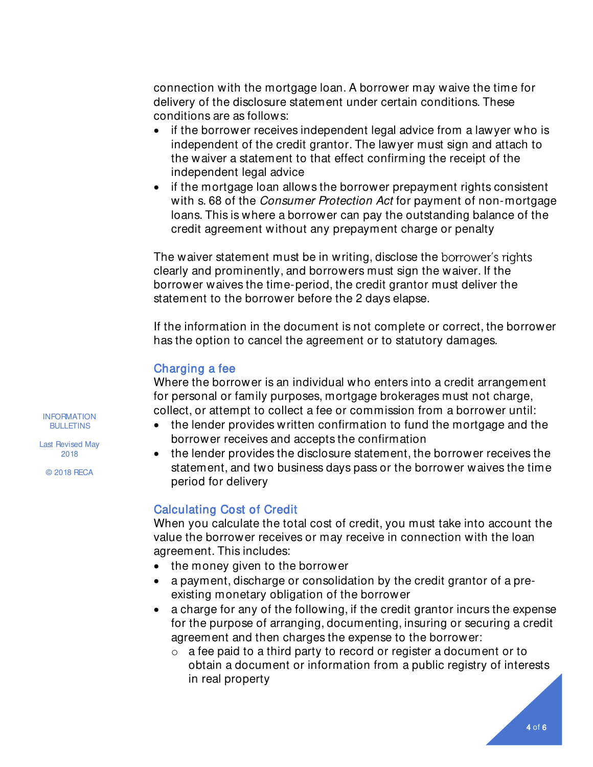connection with the mortgage loan. A borrower may waive the time for delivery of the disclosure statement under certain conditions. These conditions are as follows:

- if the borrower receives independent legal advice from a lawyer who is independent of the credit grantor. The lawyer must sign and attach to the waiver a statement to that effect confirming the receipt of the independent legal advice
- if the mortgage loan allows the borrower prepayment rights consistent with s. 68 of the *Consumer Protection Act* for payment of non-mortgage loans. This is where a borrower can pay the outstanding balance of the credit agreement without any prepayment charge or penalty

The waiver statement must be in writing, disclose the borrower's rights clearly and prominently, and borrowers must sign the waiver. If the borrower waives the time-period, the credit grantor must deliver the statement to the borrower before the 2 days elapse.

If the information in the document is not complete or correct, the borrower has the option to cancel the agreement or to statutory damages.

# Charging a fee

Where the borrower is an individual who enters into a credit arrangement for personal or family purposes, mortgage brokerages must not charge, collect, or attempt to collect a fee or commission from a borrower until:

- the lender provides written confirmation to fund the mortgage and the borrower receives and accepts the confirmation
- the lender provides the disclosure statement, the borrower receives the statement, and two business days pass or the borrower waives the time period for delivery

# Calculating Cost of Credit

When you calculate the total cost of credit, you must take into account the value the borrower receives or may receive in connection with the loan agreement. This includes:

- the money given to the borrower
- a payment, discharge or consolidation by the credit grantor of a preexisting monetary obligation of the borrower
- a charge for any of the following, if the credit grantor incurs the expense for the purpose of arranging, documenting, insuring or securing a credit agreement and then charges the expense to the borrower:
	- $\circ$  a fee paid to a third party to record or register a document or to obtain a document or information from a public registry of interests in real property

INFORMATION **BULLETINS** 

Last Revised May 2018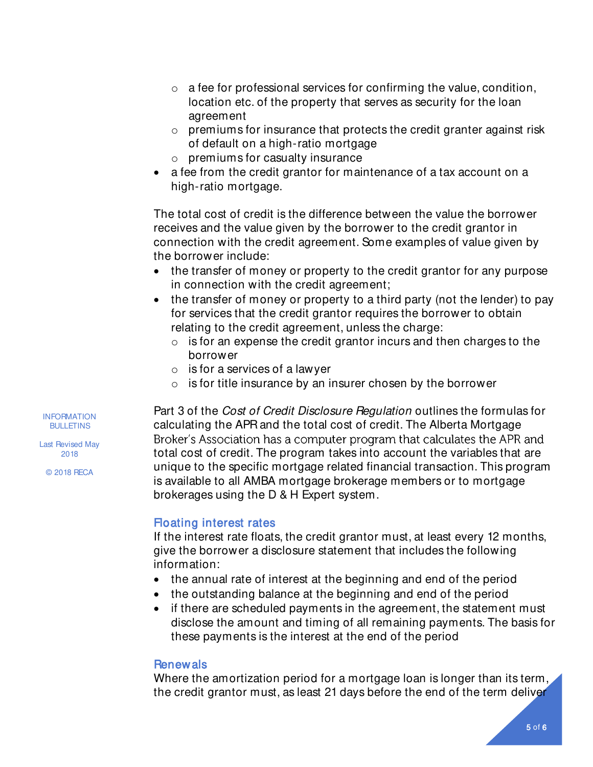- $\circ$  a fee for professional services for confirming the value, condition, location etc. of the property that serves as security for the loan agreement
- $\circ$  premiums for insurance that protects the credit granter against risk of default on a high-ratio mortgage
- o premiums for casualty insurance
- a fee from the credit grantor for maintenance of a tax account on a high-ratio mortgage.

The total cost of credit is the difference between the value the borrower receives and the value given by the borrower to the credit grantor in connection with the credit agreement. Some examples of value given by the borrower include:

- the transfer of money or property to the credit grantor for any purpose in connection with the credit agreement;
- the transfer of money or property to a third party (not the lender) to pay for services that the credit grantor requires the borrower to obtain relating to the credit agreement, unless the charge:
	- $\circ$  is for an expense the credit grantor incurs and then charges to the borrower
	- $\circ$  is for a services of a lawyer
	- $\circ$  is for title insurance by an insurer chosen by the borrower

Part 3 of the *Cost of Credit Disclosure Regulation* outlines the formulas for calculating the APR and the total cost of credit. The Alberta Mortgage Broker's Association has a computer program that calculates the APR and total cost of credit. The program takes into account the variables that are unique to the specific mortgage related financial transaction. This program is available to all AMBA mortgage brokerage members or to mortgage brokerages using the D & H Expert system.

# Floating interest rates

If the interest rate floats, the credit grantor must, at least every 12 months, give the borrower a disclosure statement that includes the following information:

- the annual rate of interest at the beginning and end of the period
- the outstanding balance at the beginning and end of the period
- if there are scheduled payments in the agreement, the statement must disclose the amount and timing of all remaining payments. The basis for these payments is the interest at the end of the period

## **Renewals**

Where the amortization period for a mortgage loan is longer than its term, the credit grantor must, as least 21 days before the end of the term deliver

INFORMATION **BULLETINS** 

Last Revised May 2018